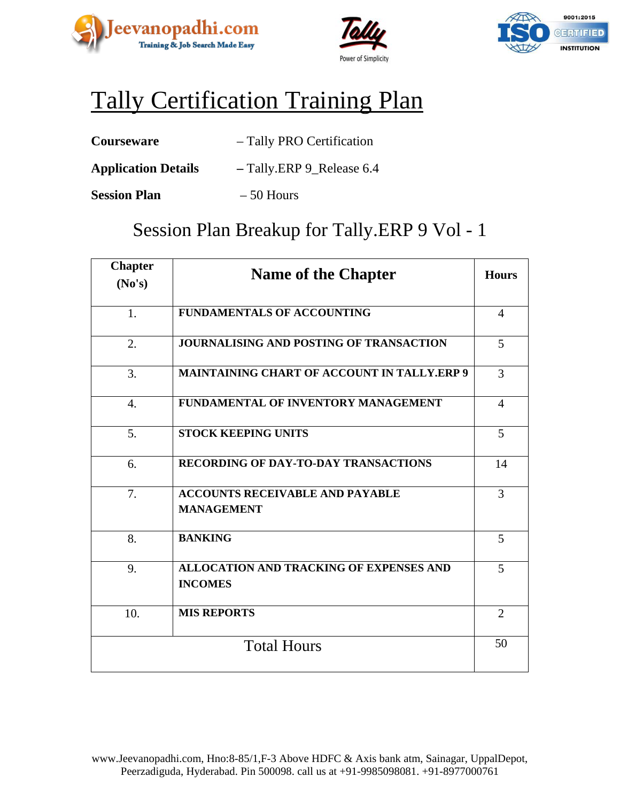





## Tally Certification Training Plan

- **Application Details –** Tally.ERP 9\_Release 6.4
- **Session Plan** 50 Hours

### Session Plan Breakup for Tally.ERP 9 Vol - 1

| <b>Chapter</b><br>No's) | <b>Name of the Chapter</b>                                       | <b>Hours</b>   |
|-------------------------|------------------------------------------------------------------|----------------|
|                         |                                                                  |                |
| 1.                      | <b>FUNDAMENTALS OF ACCOUNTING</b>                                | $\overline{4}$ |
| 2.                      | <b>JOURNALISING AND POSTING OF TRANSACTION</b>                   | 5              |
| 3.                      | <b>MAINTAINING CHART OF ACCOUNT IN TALLY.ERP 9</b>               | 3              |
| $\overline{4}$ .        | FUNDAMENTAL OF INVENTORY MANAGEMENT                              | $\overline{4}$ |
| 5.                      | <b>STOCK KEEPING UNITS</b>                                       | 5              |
| 6.                      | <b>RECORDING OF DAY-TO-DAY TRANSACTIONS</b>                      | 14             |
| 7.                      | <b>ACCOUNTS RECEIVABLE AND PAYABLE</b><br><b>MANAGEMENT</b>      | 3              |
| 8.                      | <b>BANKING</b>                                                   | 5              |
| 9.                      | <b>ALLOCATION AND TRACKING OF EXPENSES AND</b><br><b>INCOMES</b> | 5              |
| 10.                     | <b>MIS REPORTS</b>                                               | $\overline{2}$ |
|                         | <b>Total Hours</b>                                               | 50             |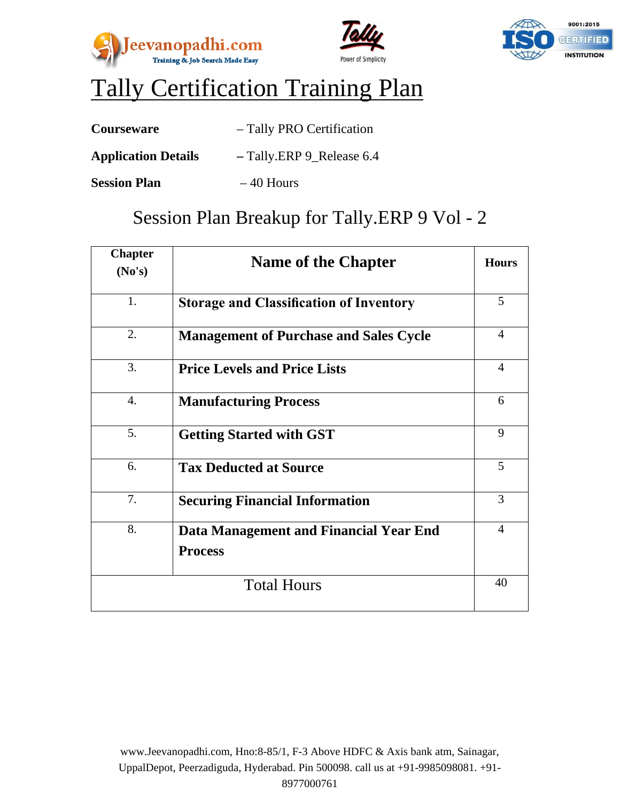





## Tally Certification Training Plan

| <b>Courseware</b>          | - Tally PRO Certification |
|----------------------------|---------------------------|
| <b>Application Details</b> | - Tally.ERP 9_Release 6.4 |

**Session Plan**  $-40$  Hours

### Session Plan Breakup for Tally.ERP 9 Vol - 2

| <b>Chapter</b><br>No's) | <b>Name of the Chapter</b>                               | <b>Hours</b>   |
|-------------------------|----------------------------------------------------------|----------------|
| 1.                      | <b>Storage and Classification of Inventory</b>           | 5              |
| 2.                      | <b>Management of Purchase and Sales Cycle</b>            | $\overline{4}$ |
| 3.                      | <b>Price Levels and Price Lists</b>                      | $\overline{4}$ |
| $\overline{4}$ .        | <b>Manufacturing Process</b>                             | 6              |
| 5.                      | <b>Getting Started with GST</b>                          | 9              |
| 6.                      | <b>Tax Deducted at Source</b>                            | 5              |
| 7.                      | <b>Securing Financial Information</b>                    | 3              |
| 8.                      | Data Management and Financial Year End<br><b>Process</b> | $\overline{4}$ |
|                         | <b>Total Hours</b>                                       | 40             |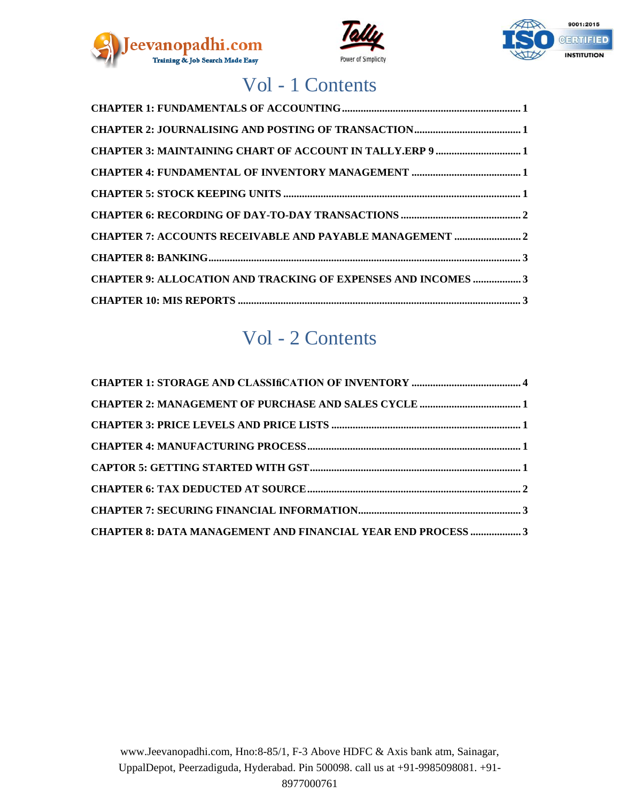





## Vol - 1 Contents

| <b>CHAPTER 7: ACCOUNTS RECEIVABLE AND PAYABLE MANAGEMENT </b> 2     |
|---------------------------------------------------------------------|
|                                                                     |
| <b>CHAPTER 9: ALLOCATION AND TRACKING OF EXPENSES AND INCOMES 3</b> |
|                                                                     |

### Vol - 2 Contents

| CHAPTER 8: DATA MANAGEMENT AND FINANCIAL YEAR END PROCESS 3 |  |
|-------------------------------------------------------------|--|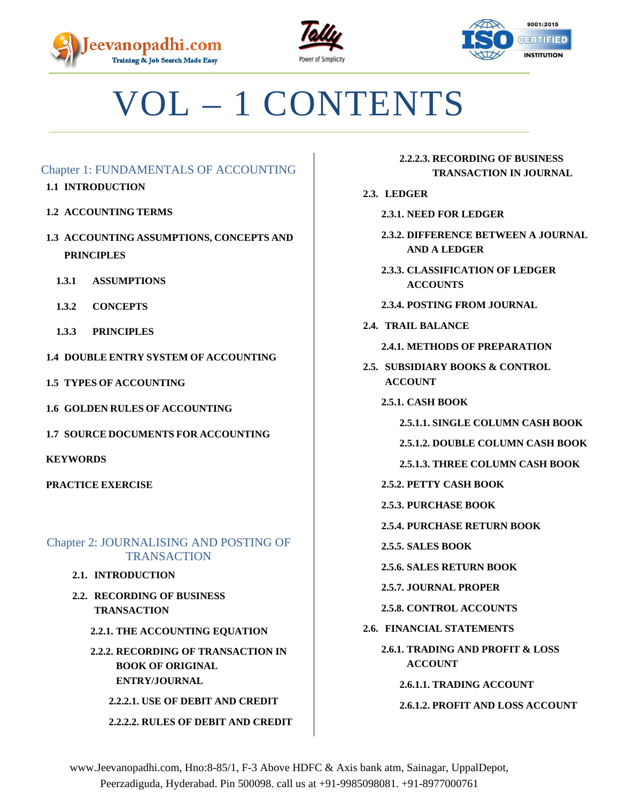





# VOL – 1 CONTENTS

#### <span id="page-3-0"></span>Chapter 1: FUNDAMENTALS OF ACCOUNTING

- **1.1 INTRODUCTION**
- **1.2 ACCOUNTING TERMS**
- **1.3 ACCOUNTING ASSUMPTIONS, CONCEPTS AND PRINCIPLES**
	- **1.3.1 ASSUMPTIONS**
	- **1.3.2 CONCEPTS**
	- **1.3.3 PRINCIPLES**
- **1.4 DOUBLE ENTRY SYSTEM OF ACCOUNTING**
- **1.5 TYPES OF ACCOUNTING**
- **1.6 GOLDEN RULES OF ACCOUNTING**
- **1.7 SOURCE DOCUMENTS FOR ACCOUNTING**

**KEYWORDS**

**PRACTICE EXERCISE**

#### <span id="page-3-1"></span>Chapter 2: JOURNALISING AND POSTING OF **TRANSACTION**

- **2.1. INTRODUCTION**
- **2.2. RECORDING OF BUSINESS TRANSACTION**
	- **2.2.1. THE ACCOUNTING EQUATION**
	- **2.2.2. RECORDING OF TRANSACTION IN BOOK OF ORIGINAL ENTRY/JOURNAL**

**2.2.2.1. USE OF DEBIT AND CREDIT 2.2.2.2. RULES OF DEBIT AND CREDIT**

#### **2.2.2.3. RECORDING OF BUSINESS TRANSACTION IN JOURNAL**

#### **2.3. LEDGER**

- **2.3.1. NEED FOR LEDGER**
- **2.3.2. DIFFERENCE BETWEEN A JOURNAL AND A LEDGER**
- **2.3.3. CLASSIFICATION OF LEDGER ACCOUNTS**
- **2.3.4. POSTING FROM JOURNAL**
- **2.4. TRAIL BALANCE**
	- **2.4.1. METHODS OF PREPARATION**
- **2.5. SUBSIDIARY BOOKS & CONTROL ACCOUNT**
	- **2.5.1. CASH BOOK**
		- **2.5.1.1. SINGLE COLUMN CASH BOOK**
		- **2.5.1.2. DOUBLE COLUMN CASH BOOK**
		- **2.5.1.3. THREE COLUMN CASH BOOK**
	- **2.5.2. PETTY CASH BOOK**
	- **2.5.3. PURCHASE BOOK**
	- **2.5.4. PURCHASE RETURN BOOK**
	- **2.5.5. SALES BOOK**
	- **2.5.6. SALES RETURN BOOK**
	- **2.5.7. JOURNAL PROPER**
	- **2.5.8. CONTROL ACCOUNTS**
- **2.6. FINANCIAL STATEMENTS**
	- **2.6.1. TRADING AND PROFIT & LOSS ACCOUNT**
		- **2.6.1.1. TRADING ACCOUNT**
		- **2.6.1.2. PROFIT AND LOSS ACCOUNT**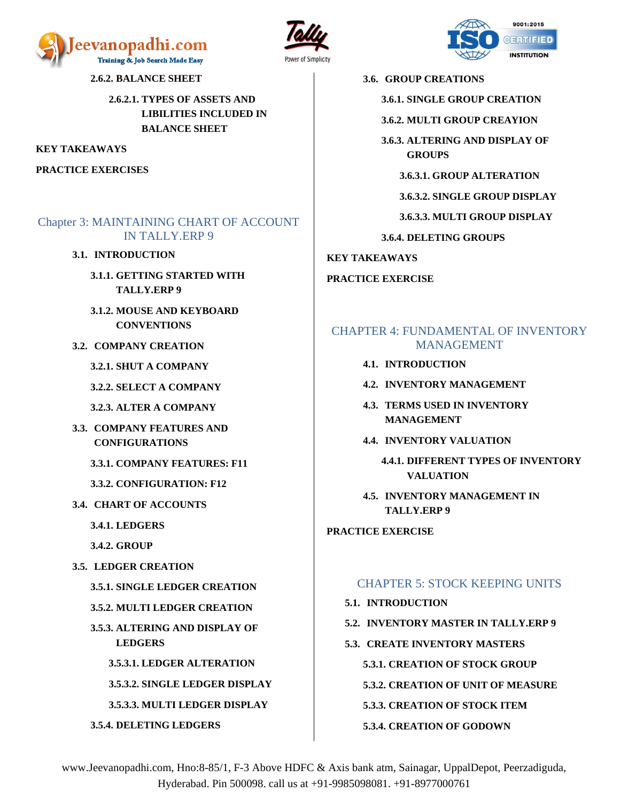





**2.6.2. BALANCE SHEET**

**2.6.2.1. TYPES OF ASSETS AND LIBILITIES INCLUDED IN BALANCE SHEET**

**KEY TAKEAWAYS**

**PRACTICE EXERCISES**

#### <span id="page-4-0"></span>Chapter 3: MAINTAINING CHART OF ACCOUNT IN TALLY.ERP 9

#### **3.1. INTRODUCTION**

- **3.1.1. GETTING STARTED WITH TALLY.ERP 9**
- **3.1.2. MOUSE AND KEYBOARD CONVENTIONS**
- **3.2. COMPANY CREATION**
	- **3.2.1. SHUT A COMPANY**
	- **3.2.2. SELECT A COMPANY**
	- **3.2.3. ALTER A COMPANY**
- **3.3. COMPANY FEATURES AND CONFIGURATIONS**
	- **3.3.1. COMPANY FEATURES: F11**
	- **3.3.2. CONFIGURATION: F12**
- **3.4. CHART OF ACCOUNTS**
	- **3.4.1. LEDGERS**
	- **3.4.2. GROUP**
- **3.5. LEDGER CREATION**
	- **3.5.1. SINGLE LEDGER CREATION**
	- **3.5.2. MULTI LEDGER CREATION**
	- **3.5.3. ALTERING AND DISPLAY OF LEDGERS**
		- **3.5.3.1. LEDGER ALTERATION**
		- **3.5.3.2. SINGLE LEDGER DISPLAY**

**3.5.3.3. MULTI LEDGER DISPLAY**

**3.5.4. DELETING LEDGERS**

**3.6. GROUP CREATIONS**

- **3.6.1. SINGLE GROUP CREATION**
- **3.6.2. MULTI GROUP CREAYION**
- **3.6.3. ALTERING AND DISPLAY OF GROUPS**
	- **3.6.3.1. GROUP ALTERATION**
	- **3.6.3.2. SINGLE GROUP DISPLAY**
	- **3.6.3.3. MULTI GROUP DISPLAY**
- **3.6.4. DELETING GROUPS**
- **KEY TAKEAWAYS**
- **PRACTICE EXERCISE**

#### <span id="page-4-1"></span>CHAPTER 4: FUNDAMENTAL OF INVENTORY MANAGEMENT

- **4.1. INTRODUCTION**
- **4.2. INVENTORY MANAGEMENT**
- **4.3. TERMS USED IN INVENTORY MANAGEMENT**
- **4.4. INVENTORY VALUATION**
	- **4.4.1. DIFFERENT TYPES OF INVENTORY VALUATION**
- **4.5. INVENTORY MANAGEMENT IN TALLY.ERP 9**

**PRACTICE EXERCISE**

#### <span id="page-4-2"></span>CHAPTER 5: STOCK KEEPING UNITS

- **5.1. INTRODUCTION**
- **5.2. INVENTORY MASTER IN TALLY.ERP 9**
- **5.3. CREATE INVENTORY MASTERS**
	- **5.3.1. CREATION OF STOCK GROUP**
	- **5.3.2. CREATION OF UNIT OF MEASURE**
	- **5.3.3. CREATION OF STOCK ITEM**

#### **5.3.4. CREATION OF GODOWN**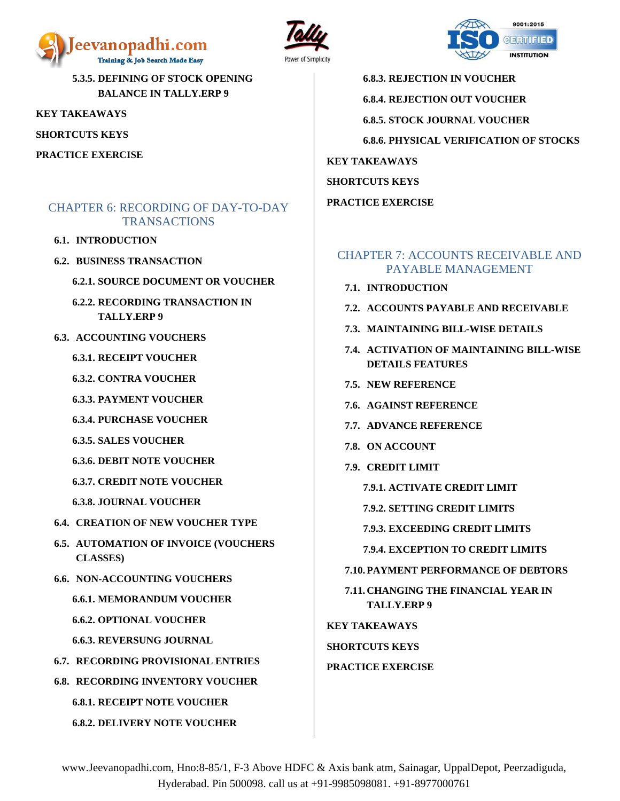





**6.8.3. REJECTION IN VOUCHER 6.8.4. REJECTION OUT VOUCHER 6.8.5. STOCK JOURNAL VOUCHER 6.8.6. PHYSICAL VERIFICATION OF STOCKS KEY TAKEAWAYS SHORTCUTS KEYS PRACTICE EXERCISE**

#### <span id="page-5-1"></span>CHAPTER 7: ACCOUNTS RECEIVABLE AND PAYABLE MANAGEMENT

- **7.1. INTRODUCTION**
- **7.2. ACCOUNTS PAYABLE AND RECEIVABLE**
- **7.3. MAINTAINING BILL-WISE DETAILS**
- **7.4. ACTIVATION OF MAINTAINING BILL-WISE DETAILS FEATURES**
- **7.5. NEW REFERENCE**
- **7.6. AGAINST REFERENCE**
- **7.7. ADVANCE REFERENCE**
- **7.8. ON ACCOUNT**
- **7.9. CREDIT LIMIT**

**7.9.1. ACTIVATE CREDIT LIMIT**

- **7.9.2. SETTING CREDIT LIMITS**
- **7.9.3. EXCEEDING CREDIT LIMITS**
- **7.9.4. EXCEPTION TO CREDIT LIMITS**

**7.10. PAYMENT PERFORMANCE OF DEBTORS**

**7.11. CHANGING THE FINANCIAL YEAR IN TALLY.ERP 9**

**KEY TAKEAWAYS**

**SHORTCUTS KEYS**

#### **PRACTICE EXERCISE**

www.Jeevanopadhi.com, Hno:8-85/1, F-3 Above HDFC & Axis bank atm, Sainagar, UppalDepot, Peerzadiguda, Hyderabad. Pin 500098. call us at +91-9985098081. +91-8977000761

**5.3.5. DEFINING OF STOCK OPENING BALANCE IN TALLY.ERP 9**

**KEY TAKEAWAYS**

**SHORTCUTS KEYS**

**PRACTICE EXERCISE**

#### <span id="page-5-0"></span>CHAPTER 6: RECORDING OF DAY-TO-DAY **TRANSACTIONS**

- **6.1. INTRODUCTION**
- **6.2. BUSINESS TRANSACTION**
	- **6.2.1. SOURCE DOCUMENT OR VOUCHER**
	- **6.2.2. RECORDING TRANSACTION IN TALLY.ERP 9**
- **6.3. ACCOUNTING VOUCHERS**
	- **6.3.1. RECEIPT VOUCHER**
	- **6.3.2. CONTRA VOUCHER**
	- **6.3.3. PAYMENT VOUCHER**
	- **6.3.4. PURCHASE VOUCHER**
	- **6.3.5. SALES VOUCHER**
	- **6.3.6. DEBIT NOTE VOUCHER**
	- **6.3.7. CREDIT NOTE VOUCHER**
	- **6.3.8. JOURNAL VOUCHER**
- **6.4. CREATION OF NEW VOUCHER TYPE**
- **6.5. AUTOMATION OF INVOICE (VOUCHERS CLASSES)**
- **6.6. NON-ACCOUNTING VOUCHERS**
	- **6.6.1. MEMORANDUM VOUCHER**
	- **6.6.2. OPTIONAL VOUCHER**
	- **6.6.3. REVERSUNG JOURNAL**
- **6.7. RECORDING PROVISIONAL ENTRIES**
- **6.8. RECORDING INVENTORY VOUCHER**

**6.8.1. RECEIPT NOTE VOUCHER**

**6.8.2. DELIVERY NOTE VOUCHER**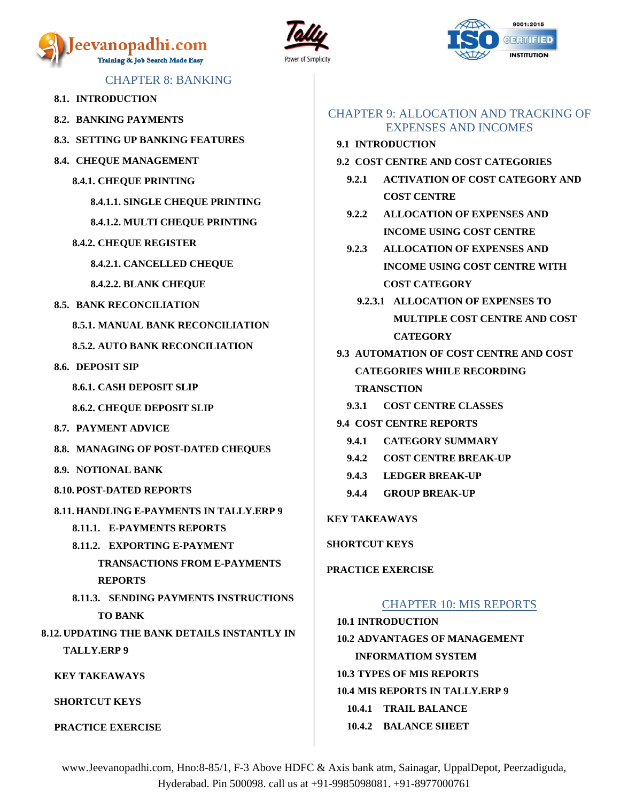





#### CHAPTER 8: BANKING

- <span id="page-6-0"></span>**8.1. INTRODUCTION**
- **8.2. BANKING PAYMENTS**
- **8.3. SETTING UP BANKING FEATURES**
- **8.4. CHEQUE MANAGEMENT**
	- **8.4.1. CHEQUE PRINTING**

**8.4.1.1. SINGLE CHEQUE PRINTING**

**8.4.1.2. MULTI CHEQUE PRINTING**

- **8.4.2. CHEQUE REGISTER**
	- **8.4.2.1. CANCELLED CHEQUE**

**8.4.2.2. BLANK CHEQUE**

**8.5. BANK RECONCILIATION**

**8.5.1. MANUAL BANK RECONCILIATION**

**8.5.2. AUTO BANK RECONCILIATION**

- **8.6. DEPOSIT SIP**
	- **8.6.1. CASH DEPOSIT SLIP**
	- **8.6.2. CHEQUE DEPOSIT SLIP**
- **8.7. PAYMENT ADVICE**
- **8.8. MANAGING OF POST-DATED CHEQUES**
- **8.9. NOTIONAL BANK**
- **8.10. POST-DATED REPORTS**
- **8.11. HANDLING E-PAYMENTS IN TALLY.ERP 9**
	- **8.11.1. E-PAYMENTS REPORTS**
	- **8.11.2. EXPORTING E-PAYMENT** 
		- **TRANSACTIONS FROM E-PAYMENTS REPORTS**
- **8.11.3. SENDING PAYMENTS INSTRUCTIONS TO BANK**

**8.12. UPDATING THE BANK DETAILS INSTANTLY IN TALLY.ERP 9**

**KEY TAKEAWAYS**

**SHORTCUT KEYS**

**PRACTICE EXERCISE**

#### <span id="page-6-1"></span>CHAPTER 9: ALLOCATION AND TRACKING OF EXPENSES AND INCOMES

- **9.1 INTRODUCTION**
- **9.2 COST CENTRE AND COST CATEGORIES**
	- **9.2.1 ACTIVATION OF COST CATEGORY AND COST CENTRE**
	- **9.2.2 ALLOCATION OF EXPENSES AND INCOME USING COST CENTRE**
	- **9.2.3 ALLOCATION OF EXPENSES AND INCOME USING COST CENTRE WITH COST CATEGORY**
		- **9.2.3.1 ALLOCATION OF EXPENSES TO MULTIPLE COST CENTRE AND COST CATEGORY**
- **9.3 AUTOMATION OF COST CENTRE AND COST CATEGORIES WHILE RECORDING TRANSCTION**
	- **9.3.1 COST CENTRE CLASSES**
- **9.4 COST CENTRE REPORTS**
	- **9.4.1 CATEGORY SUMMARY**
	- **9.4.2 COST CENTRE BREAK-UP**
	- **9.4.3 LEDGER BREAK-UP**
	- **9.4.4 GROUP BREAK-UP**

**KEY TAKEAWAYS**

**SHORTCUT KEYS**

<span id="page-6-2"></span>**PRACTICE EXERCISE**

#### CHAPTER 10: MIS REPORTS

**10.1 INTRODUCTION 10.2 ADVANTAGES OF MANAGEMENT INFORMATIOM SYSTEM 10.3 TYPES OF MIS REPORTS 10.4 MIS REPORTS IN TALLY.ERP 9 10.4.1 TRAIL BALANCE 10.4.2 BALANCE SHEET**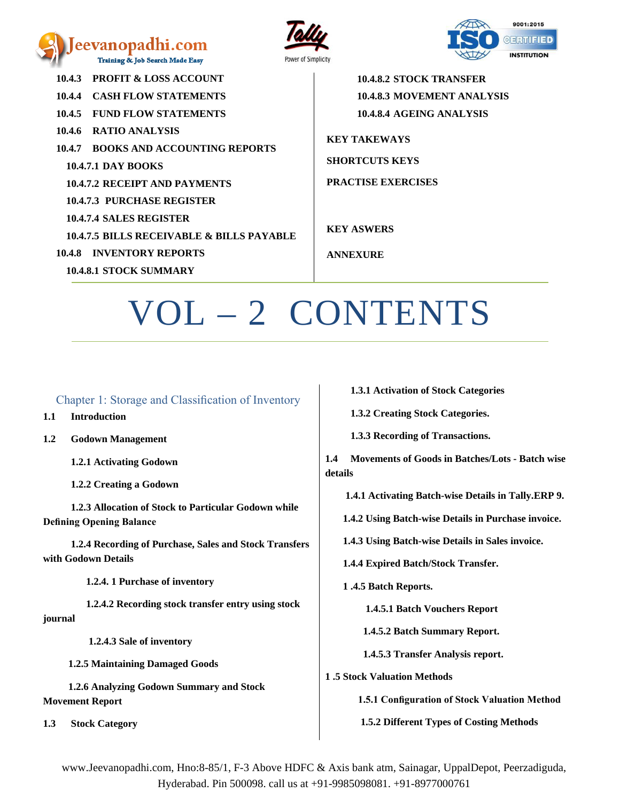





**10.4.3 PROFIT & LOSS ACCOUNT 10.4.4 CASH FLOW STATEMENTS 10.4.5 FUND FLOW STATEMENTS 10.4.6 RATIO ANALYSIS 10.4.7 BOOKS AND ACCOUNTING REPORTS 10.4.7.1 DAY BOOKS 10.4.7.2 RECEIPT AND PAYMENTS 10.4.7.3 PURCHASE REGISTER 10.4.7.4 SALES REGISTER 10.4.7.5 BILLS RECEIVABLE & BILLS PAYABLE 10.4.8 INVENTORY REPORTS 10.4.8.1 STOCK SUMMARY**

**10.4.8.2 STOCK TRANSFER 10.4.8.3 MOVEMENT ANALYSIS 10.4.8.4 AGEING ANALYSIS**

**KEY TAKEWAYS SHORTCUTS KEYS**

**PRACTISE EXERCISES**

**KEY ASWERS**

**ANNEXURE**

# OL – 2 CONTENTS

#### <span id="page-7-0"></span>Chapter 1: Storage and Classification of Inventory

**1.1 Introduction** 

**1.2 Godown Management**

 **1.2.1 Activating Godown** 

 **1.2.2 Creating a Godown** 

 **1.2.3 Allocation of Stock to Particular Godown while Defining Opening Balance**

 **1.2.4 Recording of Purchase, Sales and Stock Transfers with Godown Details** 

 **1.2.4. 1 Purchase of inventory**

 **1.2.4.2 Recording stock transfer entry using stock journal** 

 **1.2.4.3 Sale of inventory** 

 **1.2.5 Maintaining Damaged Goods**

 **1.2.6 Analyzing Godown Summary and Stock Movement Report** 

**1.3 Stock Category** 

 **1.3.1 Activation of Stock Categories** 

 **1.3.2 Creating Stock Categories.**

 **1.3.3 Recording of Transactions.**

**1.4 Movements of Goods in Batches/Lots - Batch wise details**

 **1.4.1 Activating Batch-wise Details in Tally.ERP 9.**

 **1.4.2 Using Batch-wise Details in Purchase invoice.**

 **1.4.3 Using Batch-wise Details in Sales invoice.**

 **1.4.4 Expired Batch/Stock Transfer.**

 **1 .4.5 Batch Reports.**

 **1.4.5.1 Batch Vouchers Report**

 **1.4.5.2 Batch Summary Report.**

 **1.4.5.3 Transfer Analysis report.**

**1 .5 Stock Valuation Methods** 

 **1.5.1 Configuration of Stock Valuation Method** 

 **1.5.2 Different Types of Costing Methods**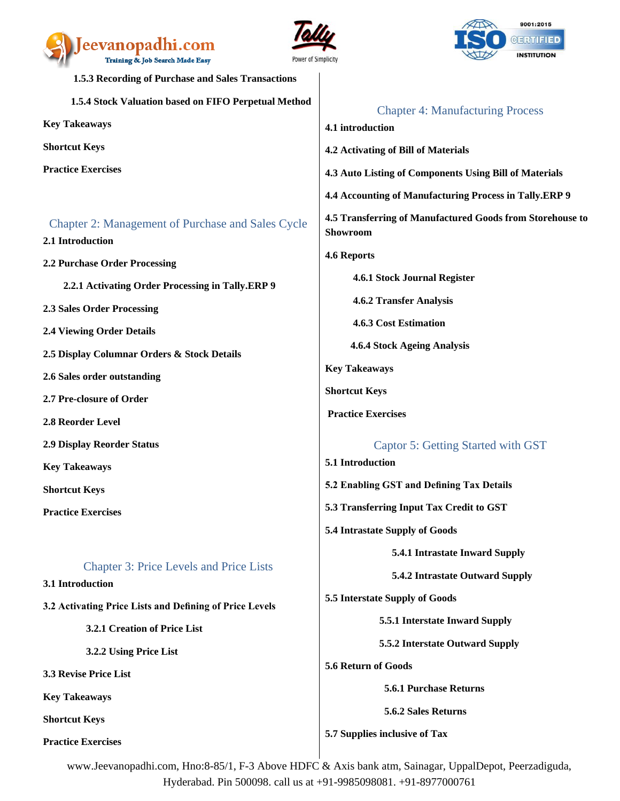

<span id="page-8-3"></span><span id="page-8-2"></span>



<span id="page-8-1"></span><span id="page-8-0"></span>

| 1.5.3 Recording of Purchase and Sales Transactions                           |                                                                              |
|------------------------------------------------------------------------------|------------------------------------------------------------------------------|
| 1.5.4 Stock Valuation based on FIFO Perpetual Method                         | <b>Chapter 4: Manufacturing Process</b>                                      |
| <b>Key Takeaways</b>                                                         | 4.1 introduction                                                             |
| <b>Shortcut Keys</b>                                                         | 4.2 Activating of Bill of Materials                                          |
| <b>Practice Exercises</b>                                                    | 4.3 Auto Listing of Components Using Bill of Materials                       |
|                                                                              | 4.4 Accounting of Manufacturing Process in Tally.ERP 9                       |
| <b>Chapter 2: Management of Purchase and Sales Cycle</b><br>2.1 Introduction | 4.5 Transferring of Manufactured Goods from Storehouse to<br><b>Showroom</b> |
| 2.2 Purchase Order Processing                                                | <b>4.6 Reports</b>                                                           |
| 2.2.1 Activating Order Processing in Tally.ERP 9                             | 4.6.1 Stock Journal Register                                                 |
| <b>2.3 Sales Order Processing</b>                                            | 4.6.2 Transfer Analysis                                                      |
| <b>2.4 Viewing Order Details</b>                                             | <b>4.6.3 Cost Estimation</b>                                                 |
| 2.5 Display Columnar Orders & Stock Details                                  | 4.6.4 Stock Ageing Analysis                                                  |
| 2.6 Sales order outstanding                                                  | <b>Key Takeaways</b>                                                         |
| 2.7 Pre-closure of Order                                                     | <b>Shortcut Keys</b>                                                         |
| 2.8 Reorder Level                                                            | <b>Practice Exercises</b>                                                    |
| <b>2.9 Display Reorder Status</b>                                            | Captor 5: Getting Started with GST                                           |
| <b>Key Takeaways</b>                                                         | 5.1 Introduction                                                             |
| <b>Shortcut Keys</b>                                                         | 5.2 Enabling GST and Defining Tax Details                                    |
| <b>Practice Exercises</b>                                                    | 5.3 Transferring Input Tax Credit to GST                                     |
|                                                                              | 5.4 Intrastate Supply of Goods                                               |
|                                                                              | 5.4.1 Intrastate Inward Supply                                               |
| <b>Chapter 3: Price Levels and Price Lists</b><br>3.1 Introduction           | 5.4.2 Intrastate Outward Supply                                              |
| 3.2 Activating Price Lists and Defining of Price Levels                      | 5.5 Interstate Supply of Goods                                               |
| 3.2.1 Creation of Price List                                                 | 5.5.1 Interstate Inward Supply                                               |
| 3.2.2 Using Price List                                                       | 5.5.2 Interstate Outward Supply                                              |
| 3.3 Revise Price List                                                        | 5.6 Return of Goods                                                          |
| <b>Key Takeaways</b>                                                         | 5.6.1 Purchase Returns                                                       |
| <b>Shortcut Keys</b>                                                         | 5.6.2 Sales Returns                                                          |
| <b>Practice Exercises</b>                                                    | 5.7 Supplies inclusive of Tax                                                |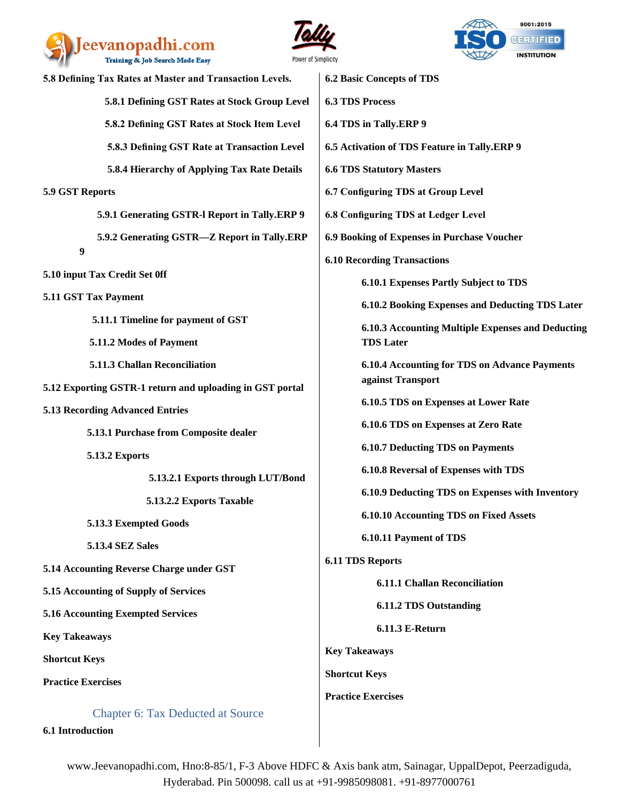





| 5.8 Defining Tax Rates at Master and Transaction Levels. | <b>6.2 Basic Concepts of TDS</b>                                          |  |
|----------------------------------------------------------|---------------------------------------------------------------------------|--|
| 5.8.1 Defining GST Rates at Stock Group Level            | <b>6.3 TDS Process</b>                                                    |  |
| 5.8.2 Defining GST Rates at Stock Item Level             | 6.4 TDS in Tally.ERP 9                                                    |  |
| 5.8.3 Defining GST Rate at Transaction Level             | 6.5 Activation of TDS Feature in Tally.ERP 9                              |  |
| 5.8.4 Hierarchy of Applying Tax Rate Details             | <b>6.6 TDS Statutory Masters</b>                                          |  |
| 5.9 GST Reports                                          | 6.7 Configuring TDS at Group Level                                        |  |
| 5.9.1 Generating GSTR-I Report in Tally.ERP 9            | 6.8 Configuring TDS at Ledger Level                                       |  |
| 5.9.2 Generating GSTR-Z Report in Tally.ERP              | 6.9 Booking of Expenses in Purchase Voucher                               |  |
| $\boldsymbol{9}$                                         | <b>6.10 Recording Transactions</b>                                        |  |
| 5.10 input Tax Credit Set 0ff                            | 6.10.1 Expenses Partly Subject to TDS                                     |  |
| 5.11 GST Tax Payment                                     | 6.10.2 Booking Expenses and Deducting TDS Later                           |  |
| 5.11.1 Timeline for payment of GST                       | 6.10.3 Accounting Multiple Expenses and Deducting<br><b>TDS Later</b>     |  |
| 5.11.2 Modes of Payment                                  |                                                                           |  |
| 5.11.3 Challan Reconciliation                            | <b>6.10.4 Accounting for TDS on Advance Payments</b><br>against Transport |  |
| 5.12 Exporting GSTR-1 return and uploading in GST portal | 6.10.5 TDS on Expenses at Lower Rate                                      |  |
| <b>5.13 Recording Advanced Entries</b>                   |                                                                           |  |
| 5.13.1 Purchase from Composite dealer                    | 6.10.6 TDS on Expenses at Zero Rate                                       |  |
| 5.13.2 Exports                                           | <b>6.10.7 Deducting TDS on Payments</b>                                   |  |
| 5.13.2.1 Exports through LUT/Bond                        | 6.10.8 Reversal of Expenses with TDS                                      |  |
| 5.13.2.2 Exports Taxable                                 | 6.10.9 Deducting TDS on Expenses with Inventory                           |  |
| 5.13.3 Exempted Goods                                    | 6.10.10 Accounting TDS on Fixed Assets                                    |  |
| <b>5.13.4 SEZ Sales</b>                                  | 6.10.11 Payment of TDS                                                    |  |
| 5.14 Accounting Reverse Charge under GST                 | <b>6.11 TDS Reports</b>                                                   |  |
| 5.15 Accounting of Supply of Services                    | <b>6.11.1 Challan Reconciliation</b>                                      |  |
| <b>5.16 Accounting Exempted Services</b>                 | <b>6.11.2 TDS Outstanding</b>                                             |  |
| <b>Key Takeaways</b>                                     | 6.11.3 E-Return                                                           |  |
| <b>Shortcut Keys</b>                                     | <b>Key Takeaways</b>                                                      |  |
| <b>Practice Exercises</b>                                | <b>Shortcut Keys</b>                                                      |  |
|                                                          | <b>Practice Exercises</b>                                                 |  |
| <b>Chapter 6: Tax Deducted at Source</b>                 |                                                                           |  |

<span id="page-9-0"></span>**6.1 Introduction**